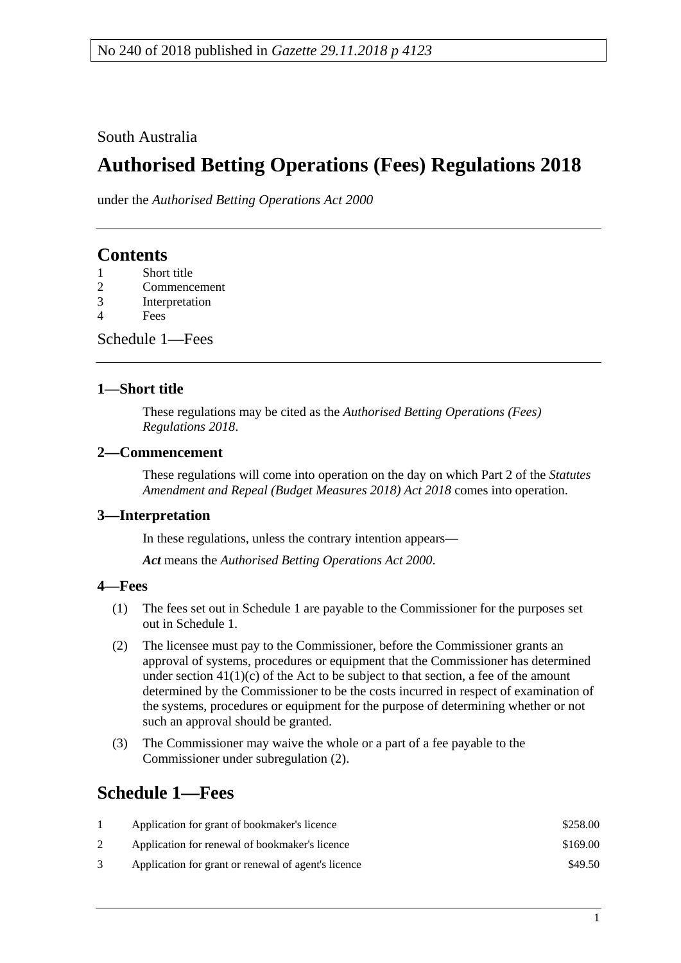South Australia

# **Authorised Betting Operations (Fees) Regulations 2018**

under the *Authorised Betting Operations Act 2000*

### **Contents**

- 1 [Short title](#page-0-0)
- 2 [Commencement](#page-0-1)
- 3 [Interpretation](#page-0-2)
- 4 [Fees](#page-0-3)

[Schedule](#page-0-4) 1—Fees

#### <span id="page-0-0"></span>**1—Short title**

These regulations may be cited as the *Authorised Betting Operations (Fees) Regulations 2018*.

#### <span id="page-0-1"></span>**2—Commencement**

These regulations will come into operation on the day on which Part 2 of the *[Statutes](http://www.legislation.sa.gov.au/index.aspx?action=legref&type=act&legtitle=Statutes%20Amendment%20and%20Repeal%20(Budget%20Measures%202018)%20Act%202018)  [Amendment and Repeal \(Budget Measures 2018\) Act 2018](http://www.legislation.sa.gov.au/index.aspx?action=legref&type=act&legtitle=Statutes%20Amendment%20and%20Repeal%20(Budget%20Measures%202018)%20Act%202018)* comes into operation.

#### <span id="page-0-2"></span>**3—Interpretation**

In these regulations, unless the contrary intention appears—

*Act* means the *[Authorised Betting Operations Act](http://www.legislation.sa.gov.au/index.aspx?action=legref&type=act&legtitle=Authorised%20Betting%20Operations%20Act%202000) 2000*.

#### <span id="page-0-3"></span>**4—Fees**

- (1) The fees set out in [Schedule](#page-0-4) 1 are payable to the Commissioner for the purposes set out in [Schedule](#page-0-4) 1.
- <span id="page-0-5"></span>(2) The licensee must pay to the Commissioner, before the Commissioner grants an approval of systems, procedures or equipment that the Commissioner has determined under section  $41(1)(c)$  of the Act to be subject to that section, a fee of the amount determined by the Commissioner to be the costs incurred in respect of examination of the systems, procedures or equipment for the purpose of determining whether or not such an approval should be granted.
- (3) The Commissioner may waive the whole or a part of a fee payable to the Commissioner under [subregulation](#page-0-5) (2).

## <span id="page-0-4"></span>**Schedule 1—Fees**

| Application for grant of bookmaker's licence        | \$258.00 |
|-----------------------------------------------------|----------|
| Application for renewal of bookmaker's licence      | \$169.00 |
| Application for grant or renewal of agent's licence | \$49.50  |